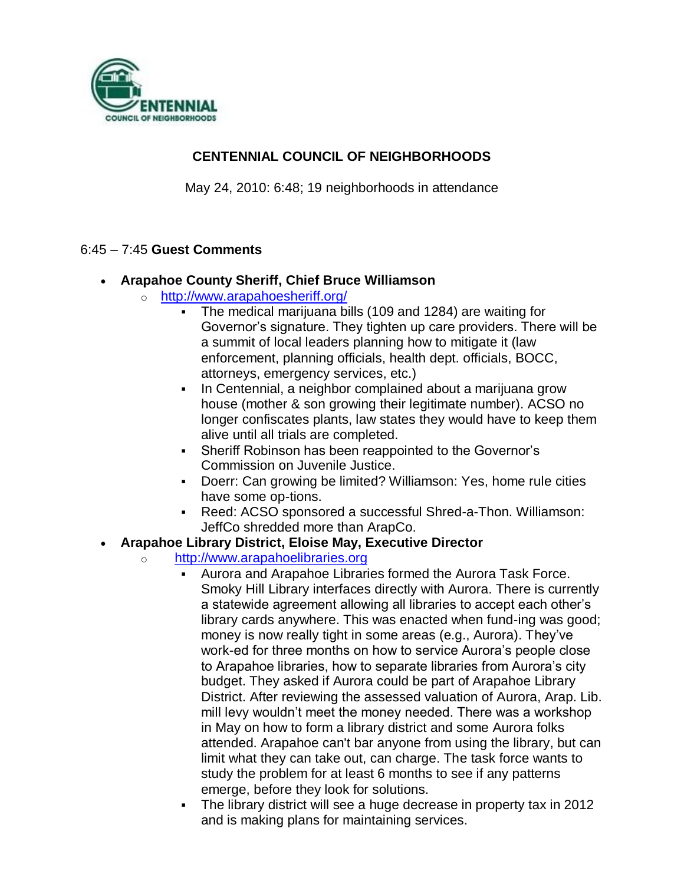

# **CENTENNIAL COUNCIL OF NEIGHBORHOODS**

May 24, 2010: 6:48; 19 neighborhoods in attendance

### 6:45 – 7:45 **Guest Comments**

- **Arapahoe County Sheriff, Chief Bruce Williamson**
	- o <http://www.arapahoesheriff.org/>
		- The medical marijuana bills (109 and 1284) are waiting for Governor's signature. They tighten up care providers. There will be a summit of local leaders planning how to mitigate it (law enforcement, planning officials, health dept. officials, BOCC, attorneys, emergency services, etc.)
		- In Centennial, a neighbor complained about a marijuana grow house (mother & son growing their legitimate number). ACSO no longer confiscates plants, law states they would have to keep them alive until all trials are completed.
		- Sheriff Robinson has been reappointed to the Governor's Commission on Juvenile Justice.
		- Doerr: Can growing be limited? Williamson: Yes, home rule cities have some op-tions.
		- Reed: ACSO sponsored a successful Shred-a-Thon. Williamson: JeffCo shredded more than ArapCo.

#### **Arapahoe Library District, Eloise May, Executive Director**

- o [http://www.arapahoelibraries.org](http://www.arapahoelibraries.org/)
	- Aurora and Arapahoe Libraries formed the Aurora Task Force. Smoky Hill Library interfaces directly with Aurora. There is currently a statewide agreement allowing all libraries to accept each other's library cards anywhere. This was enacted when fund-ing was good; money is now really tight in some areas (e.g., Aurora). They've work-ed for three months on how to service Aurora's people close to Arapahoe libraries, how to separate libraries from Aurora's city budget. They asked if Aurora could be part of Arapahoe Library District. After reviewing the assessed valuation of Aurora, Arap. Lib. mill levy wouldn't meet the money needed. There was a workshop in May on how to form a library district and some Aurora folks attended. Arapahoe can't bar anyone from using the library, but can limit what they can take out, can charge. The task force wants to study the problem for at least 6 months to see if any patterns emerge, before they look for solutions.
	- The library district will see a huge decrease in property tax in 2012 and is making plans for maintaining services.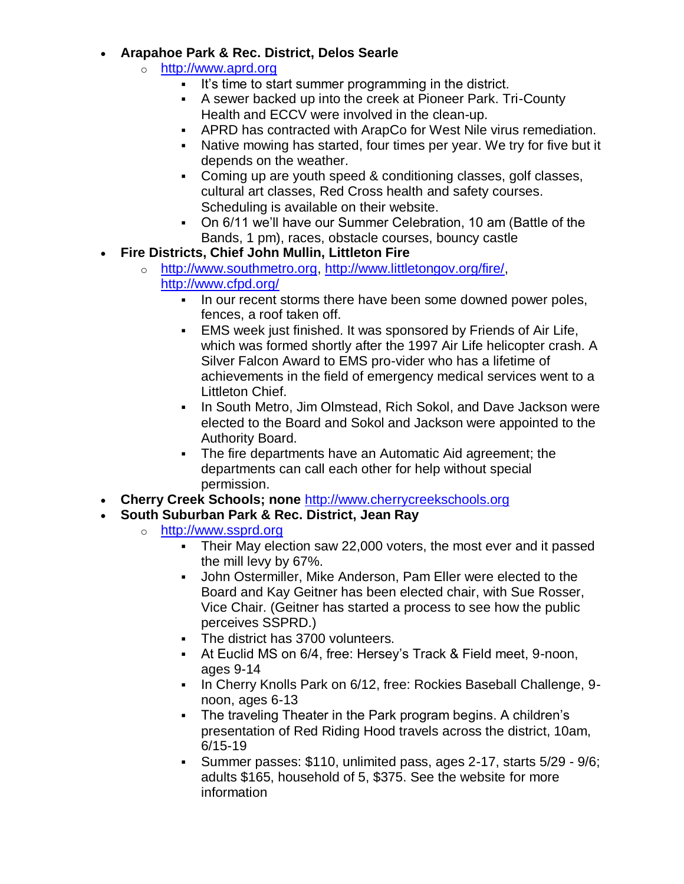## **Arapahoe Park & Rec. District, Delos Searle**

- o [http://www.aprd.org](http://www.aprd.org/)
	- It's time to start summer programming in the district.
	- A sewer backed up into the creek at Pioneer Park. Tri-County Health and ECCV were involved in the clean-up.
	- APRD has contracted with ArapCo for West Nile virus remediation.
	- Native mowing has started, four times per year. We try for five but it depends on the weather.
	- Coming up are youth speed & conditioning classes, golf classes, cultural art classes, Red Cross health and safety courses. Scheduling is available on their website.
	- On 6/11 we'll have our Summer Celebration, 10 am (Battle of the Bands, 1 pm), races, obstacle courses, bouncy castle
- **Fire Districts, Chief John Mullin, Littleton Fire**
	- o [http://www.southmetro.org,](http://www.southmetro.org/) [http://www.littletongov.org/fire/,](http://www.littletongov.org/fire/) <http://www.cfpd.org/>
		- In our recent storms there have been some downed power poles, fences, a roof taken off.
		- EMS week just finished. It was sponsored by Friends of Air Life, which was formed shortly after the 1997 Air Life helicopter crash. A Silver Falcon Award to EMS pro-vider who has a lifetime of achievements in the field of emergency medical services went to a Littleton Chief.
		- In South Metro, Jim Olmstead, Rich Sokol, and Dave Jackson were elected to the Board and Sokol and Jackson were appointed to the Authority Board.
		- The fire departments have an Automatic Aid agreement; the departments can call each other for help without special permission.
- **Cherry Creek Schools; none** [http://www.cherrycreekschools.org](http://www.cherrycreekschools.org/)
- **South Suburban Park & Rec. District, Jean Ray**
	- o [http://www.ssprd.org](http://www.ssprd.org/)
		- Their May election saw 22,000 voters, the most ever and it passed the mill levy by 67%.
		- John Ostermiller, Mike Anderson, Pam Eller were elected to the Board and Kay Geitner has been elected chair, with Sue Rosser, Vice Chair. (Geitner has started a process to see how the public perceives SSPRD.)
		- The district has 3700 volunteers.
		- At Euclid MS on 6/4, free: Hersey's Track & Field meet, 9-noon, ages 9-14
		- In Cherry Knolls Park on 6/12, free: Rockies Baseball Challenge, 9noon, ages 6-13
		- The traveling Theater in the Park program begins. A children's presentation of Red Riding Hood travels across the district, 10am, 6/15-19
		- Summer passes: \$110, unlimited pass, ages 2-17, starts 5/29 9/6; adults \$165, household of 5, \$375. See the website for more information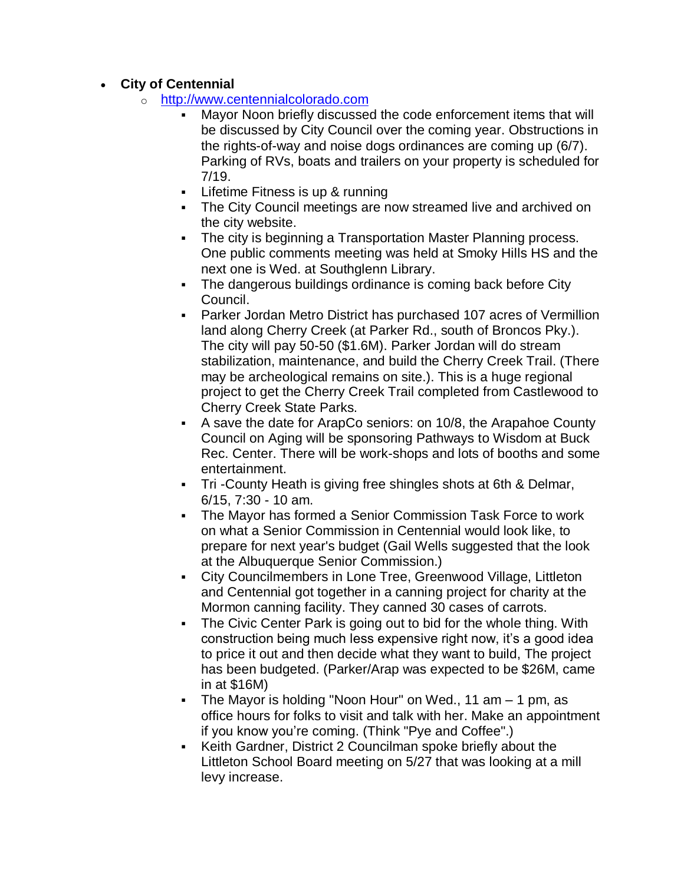### **City of Centennial**

- o [http://www.centennialcolorado.com](http://www.centennialcolorado.com/)
	- Mayor Noon briefly discussed the code enforcement items that will be discussed by City Council over the coming year. Obstructions in the rights-of-way and noise dogs ordinances are coming up (6/7). Parking of RVs, boats and trailers on your property is scheduled for 7/19.
	- **-** Lifetime Fitness is up & running
	- **The City Council meetings are now streamed live and archived on** the city website.
	- The city is beginning a Transportation Master Planning process. One public comments meeting was held at Smoky Hills HS and the next one is Wed. at Southglenn Library.
	- The dangerous buildings ordinance is coming back before City Council.
	- Parker Jordan Metro District has purchased 107 acres of Vermillion land along Cherry Creek (at Parker Rd., south of Broncos Pky.). The city will pay 50-50 (\$1.6M). Parker Jordan will do stream stabilization, maintenance, and build the Cherry Creek Trail. (There may be archeological remains on site.). This is a huge regional project to get the Cherry Creek Trail completed from Castlewood to Cherry Creek State Parks.
	- A save the date for ArapCo seniors: on 10/8, the Arapahoe County Council on Aging will be sponsoring Pathways to Wisdom at Buck Rec. Center. There will be work-shops and lots of booths and some entertainment.
	- Tri -County Heath is giving free shingles shots at 6th & Delmar, 6/15, 7:30 - 10 am.
	- The Mayor has formed a Senior Commission Task Force to work on what a Senior Commission in Centennial would look like, to prepare for next year's budget (Gail Wells suggested that the look at the Albuquerque Senior Commission.)
	- City Councilmembers in Lone Tree, Greenwood Village, Littleton and Centennial got together in a canning project for charity at the Mormon canning facility. They canned 30 cases of carrots.
	- The Civic Center Park is going out to bid for the whole thing. With construction being much less expensive right now, it's a good idea to price it out and then decide what they want to build, The project has been budgeted. (Parker/Arap was expected to be \$26M, came in at \$16M)
	- The Mayor is holding "Noon Hour" on Wed., 11 am 1 pm, as office hours for folks to visit and talk with her. Make an appointment if you know you're coming. (Think "Pye and Coffee".)
	- Keith Gardner, District 2 Councilman spoke briefly about the Littleton School Board meeting on 5/27 that was looking at a mill levy increase.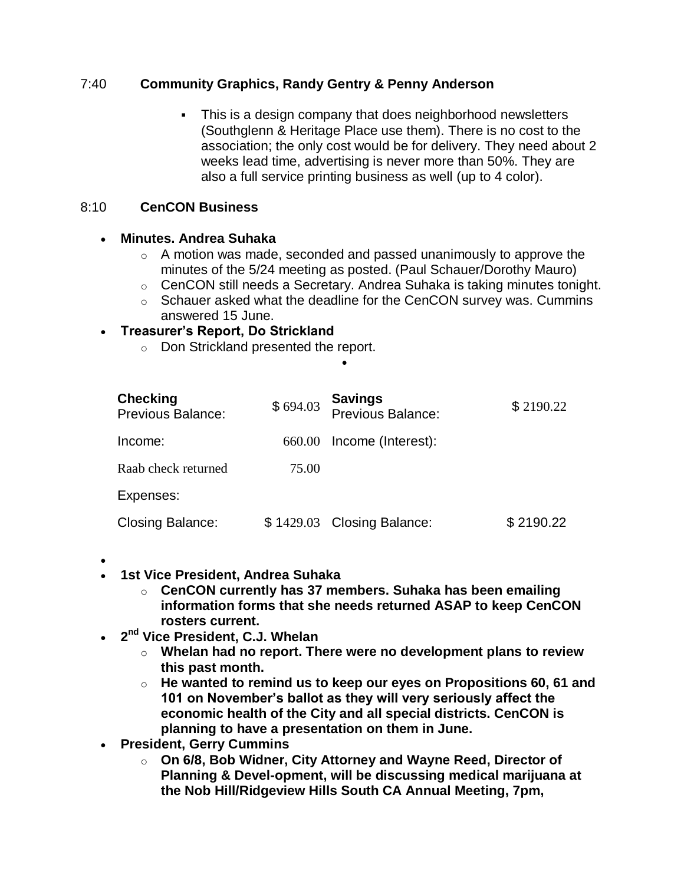## 7:40 **Community Graphics, Randy Gentry & Penny Anderson**

 This is a design company that does neighborhood newsletters (Southglenn & Heritage Place use them). There is no cost to the association; the only cost would be for delivery. They need about 2 weeks lead time, advertising is never more than 50%. They are also a full service printing business as well (up to 4 color).

### 8:10 **CenCON Business**

### **Minutes. Andrea Suhaka**

- $\circ$  A motion was made, seconded and passed unanimously to approve the minutes of the 5/24 meeting as posted. (Paul Schauer/Dorothy Mauro)
- o CenCON still needs a Secretary. Andrea Suhaka is taking minutes tonight.
- $\circ$  Schauer asked what the deadline for the CenCON survey was. Cummins answered 15 June.

#### **Treasurer's Report, Do Strickland**

o Don Strickland presented the report.

| <b>Checking</b><br><b>Previous Balance:</b> | \$694.03 | <b>Savings</b><br>Previous Balance: | \$2190.22 |
|---------------------------------------------|----------|-------------------------------------|-----------|
| Income:                                     | 660.00   | Income (Interest):                  |           |
| Raab check returned                         | 75.00    |                                     |           |
| Expenses:                                   |          |                                     |           |
| <b>Closing Balance:</b>                     |          | \$1429.03 Closing Balance:          | \$2190.22 |

 $\bullet$ 

- $\bullet$
- **1st Vice President, Andrea Suhaka**
	- o **CenCON currently has 37 members. Suhaka has been emailing information forms that she needs returned ASAP to keep CenCON rosters current.**
- **2 nd Vice President, C.J. Whelan**
	- o **Whelan had no report. There were no development plans to review this past month.**
	- o **He wanted to remind us to keep our eyes on Propositions 60, 61 and 101 on November's ballot as they will very seriously affect the economic health of the City and all special districts. CenCON is planning to have a presentation on them in June.**
- **President, Gerry Cummins**
	- o **On 6/8, Bob Widner, City Attorney and Wayne Reed, Director of Planning & Devel-opment, will be discussing medical marijuana at the Nob Hill/Ridgeview Hills South CA Annual Meeting, 7pm,**